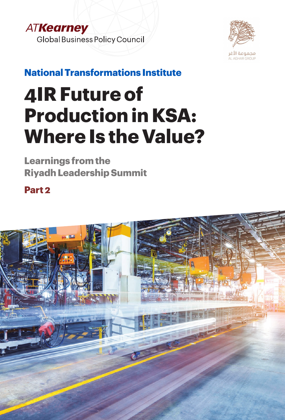



**National Transformations Institute**

# **4IR Future of Production in KSA: Where Is the Value?**

**Learnings from the Riyadh Leadership Summit**

**Part 2**

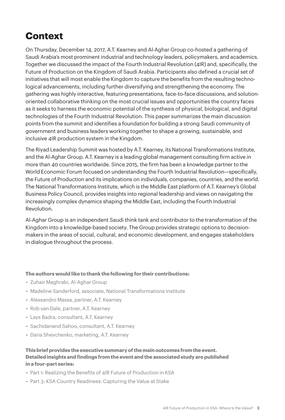# **Context**

On Thursday, December 14, 2017, A.T. Kearney and Al-Aghar Group co-hosted a gathering of Saudi Arabia's most prominent industrial and technology leaders, policymakers, and academics. Together we discussed the impact of the Fourth Industrial Revolution (4IR) and, specifically, the Future of Production on the Kingdom of Saudi Arabia. Participants also defined a crucial set of initiatives that will most enable the Kingdom to capture the benefits from the resulting technological advancements, including further diversifying and strengthening the economy. The gathering was highly interactive, featuring presentations, face-to-face discussions, and solutionoriented collaborative thinking on the most crucial issues and opportunities the country faces as it seeks to harness the economic potential of the synthesis of physical, biological, and digital technologies of the Fourth Industrial Revolution. This paper summarizes the main discussion points from the summit and identifies a foundation for building a strong Saudi community of government and business leaders working together to shape a growing, sustainable, and inclusive 4IR production system in the Kingdom.

The Riyad Leadership Summit was hosted by A.T. Kearney, its National Transformations Institute, and the Al-Aghar Group. A.T. Kearney is a leading global management consulting firm active in more than 40 countries worldwide. Since 2015, the firm has been a knowledge partner to the World Economic Forum focused on understanding the Fourth Industrial Revolution—specifically, the Future of Production and its implications on individuals, companies, countries, and the world. The National Transformations Institute, which is the Middle East platform of A.T. Kearney's Global Business Policy Council, provides insights into regional leadership and views on navigating the increasingly complex dynamics shaping the Middle East, including the Fourth Industrial Revolution.

Al-Aghar Group is an independent Saudi think tank and contributor to the transformation of the Kingdom into a knowledge-based society. The Group provides strategic options to decisionmakers in the areas of social, cultural, and economic development, and engages stakeholders in dialogue throughout the process.

#### **The authors would like to thank the following for their contributions:**

- Zuhair Maghrabi, Al-Aghar Group
- Madeline Sanderford, associate, National Transformations Institute
- Alessandro Massa, partner, A.T. Kearney
- Rob van Dale, partner, A.T. Kearney
- Lays Badra, consultant, A.T. Kearney
- Sachidanand Sahoo, consultant, A.T. Kearney
- Daria Shevchenko, marketing, A.T. Kearney

#### **This brief provides the executive summary of the main outcomes from the event. Detailed insights and findings from the event and the associated study are published in a four-part series:**

- Part 1: Realizing the Benefits of 4IR Future of Production in KSA
- Part 3: KSA Country Readiness: Capturing the Value at Stake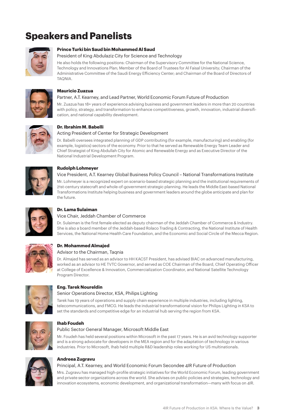# **Speakers and Panelists**



#### **Prince Turki bin Saud bin Mohammed Al Saud**

#### President of King Abdulaziz City for Science and Technology

He also holds the following positions: Chairman of the Supervisory Committee for the National Science, Technology and Innovations Plan; Member of the Board of Trustees for Al Faisal University; Chairman of the Administrative Committee of the Saudi Energy Efficiency Center; and Chairman of the Board of Directors of TAQNIA.



#### **Mauricio Zuazua**

#### Partner, A.T. Kearney, and Lead Partner, World Economic Forum Future of Production

Mr. Zuazua has 18+ years of experience advising business and government leaders in more than 20 countries with policy, strategy, and transformation to enhance competitiveness, growth, innovation, industrial diversification, and national capability development.



#### **Dr. Ibrahim M. Babelli**

#### Acting President of Center for Strategic Development

Dr. Babelli oversees integrated planning of GDP contributing (for example, manufacturing) and enabling (for example, logistics) sectors of the economy. Prior to that he served as Renewable Energy Team Leader and Chief Strategist of King Abdullah City for Atomic and Renewable Energy and as Executive Director of the National Industrial Development Program.



#### **Rudolph Lohmeyer**

#### Vice President, A.T. Kearney Global Business Policy Council – National Transformations Institute

Mr. Lohmeyer is a recognized expert on scenario-based strategic planning and the institutional requirements of 21st-century statecraft and whole-of-government strategic planning. He leads the Middle East-based National Transformations Institute helping business and government leaders around the globe anticipate and plan for the future.



#### **Dr. Lama Sulaiman**

#### Vice Chair, Jeddah Chamber of Commerce

Dr. Sulaiman is the first female elected as deputy chairman of the Jeddah Chamber of Commerce & Industry. She is also a board member of the Jeddah-based Rolaco Trading & Contracting, the National Institute of Health Services, the National Home Health Care Foundation, and the Economic and Social Circle of the Mecca Region.



### **Dr. Mohammed Almajed**

#### Advisor to the Chairman, Tagnia

Dr. Almajed has served as an advisor to HH KACST President, has advised BIAC on advanced manufacturing, worked as an advisor to HE TVTC Governor, and served as COE Chairman of the Board, Chief Operating Officer at College of Excellence & Innovation, Commercialization Coordinator, and National Satellite Technology Program Director.



#### **Eng. Tarek Noureldin**

#### Senior Operations Director, KSA, Philips Lighting

Tarek has 19 years of operations and supply chain experience in multiple industries, including lighting, telecommunications, and FMCG. He leads the industrial transformational vision for Philips Lighting in KSA to set the standards and competitive edge for an industrial hub serving the region from KSA.



#### **Ihab Foudeh**

#### Public Sector General Manager, Microsoft Middle East

Mr. Foudeh has held several positions within Microsoft in the past 17 years. He is an avid technology supporter and is a strong advocate for developers in the MEA region and for the adaptation of technology in various industries. Prior to Microsoft, Ihab held multiple R&D leadership roles working for US multinationals.



#### **Andreea Zugravu**

#### Principal, A.T. Kearney, and World Economic Forum Secondee 4IR Future of Production

Mrs. Zugravu has managed high-profile strategic initiatives for the World Economic Forum, leading government and private sector organizations across the world. She advises on public policies and strategies, technology and innovation ecosystems, economic development, and organizational transformation—many with focus on 4IR.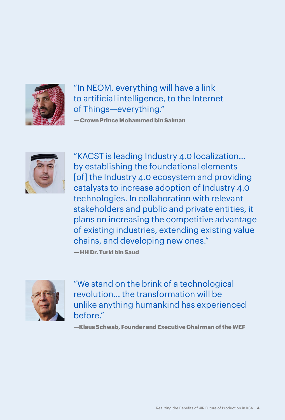

"In NEOM, everything will have a link to artificial intelligence, to the Internet of Things—everything."

**— Crown Prince Mohammed bin Salman**



"KACST is leading Industry 4.0 localization… by establishing the foundational elements [of] the Industry 4.0 ecosystem and providing catalysts to increase adoption of Industry 4.0 technologies. In collaboration with relevant stakeholders and public and private entities, it plans on increasing the competitive advantage of existing industries, extending existing value chains, and developing new ones."

**— HH Dr. Turki bin Saud**



"We stand on the brink of a technological revolution… the transformation will be unlike anything humankind has experienced before."

**—Klaus Schwab, Founder and Executive Chairman of the WEF**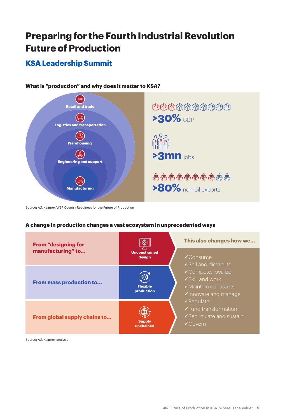# **Preparing for the Fourth Industrial Revolution Future of Production**

## **KSA Leadership Summit**



#### **What is "production" and why does it matter to KSA?**

Source: A.T. Kearney/WEF Country Readiness for the Future of Production

#### **A change in production changes a vast ecosystem in unprecedented ways**



Source: A.T. Kearney analysis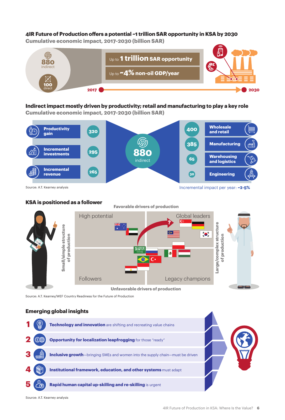#### **4IR Future of Production offers a potential ~1 trillion SAR opportunity in KSA by 2030**

**Cumulative economic impact, 2017-2030 (billion SAR)**



### **Indirect impact mostly driven by productivity; retail and manufacturing to play a key role**

**Cumulative economic impact, 2017-2030 (billion SAR)**



**KSA is positioned as a follower**



**Unfavorable drivers of production**

Source: A.T. Kearney/WEF Country Readiness for the Future of Production

#### **Emerging global insights**



Source: A.T. Kearney analysis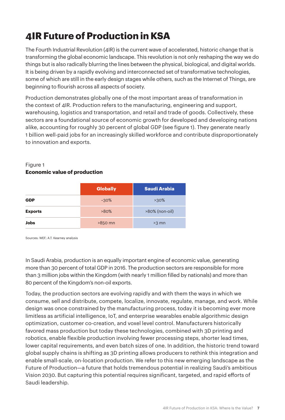# **4IR Future of Production in KSA**

The Fourth Industrial Revolution (4IR) is the current wave of accelerated, historic change that is transforming the global economic landscape. This revolution is not only reshaping the way we do things but is also radically blurring the lines between the physical, biological, and digital worlds. It is being driven by a rapidly evolving and interconnected set of transformative technologies, some of which are still in the early design stages while others, such as the Internet of Things, are beginning to flourish across all aspects of society.

Production demonstrates globally one of the most important areas of transformation in the context of 4IR. Production refers to the manufacturing, engineering and support, warehousing, logistics and transportation, and retail and trade of goods. Collectively, these sectors are a foundational source of economic growth for developed and developing nations alike, accounting for roughly 30 percent of global GDP (see figure 1). They generate nearly 1 billion well-paid jobs for an increasingly skilled workforce and contribute disproportionately to innovation and exports.

#### Figure 1 **Economic value of production**

|                | <b>Globally</b> | <b>Saudi Arabia</b> |  |
|----------------|-----------------|---------------------|--|
| <b>GDP</b>     | $~20\%$         | $>30\%$             |  |
| <b>Exports</b> | $>80\%$         | $>80\%$ (non-oil)   |  |
| <b>Jobs</b>    | $>850$ mn       | $>3$ mn             |  |

Sources: WEF; A.T. Kearney analysis

In Saudi Arabia, production is an equally important engine of economic value, generating more than 30 percent of total GDP in 2016. The production sectors are responsible for more than 3 million jobs within the Kingdom (with nearly 1 million filled by nationals) and more than 80 percent of the Kingdom's non-oil exports.

Today, the production sectors are evolving rapidly and with them the ways in which we consume, sell and distribute, compete, localize, innovate, regulate, manage, and work. While design was once constrained by the manufacturing process, today it is becoming ever more limitless as artificial intelligence, IoT, and enterprise wearables enable algorithmic design optimization, customer co-creation, and voxel level control. Manufacturers historically favored mass production but today these technologies, combined with 3D printing and robotics, enable flexible production involving fewer processing steps, shorter lead times, lower capital requirements, and even batch sizes of one. In addition, the historic trend toward global supply chains is shifting as 3D printing allows producers to rethink this integration and enable small-scale, on-location production. We refer to this new emerging landscape as the Future of Production—a future that holds tremendous potential in realizing Saudi's ambitious Vision 2030. But capturing this potential requires significant, targeted, and rapid efforts of Saudi leadership.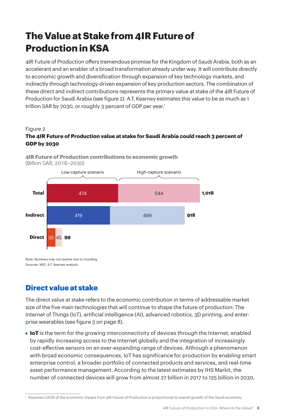# **The Value at Stake from 4IR Future of Production in KSA**

4IR Future of Production offers tremendous promise for the Kingdom of Saudi Arabia, both as an accelerant and an enabler of a broad transformation already under way. It will contribute directly to economic growth and diversification through expansion of key technology markets, and indirectly through technology-driven expansion of key production sectors. The combination of these direct and indirect contributions represents the primary value at stake of the 4IR Future of Production for Saudi Arabia (see figure 2). A.T. Kearney estimates this value to be as much as 1 trillion SAR by 2030, or roughly 3 percent of GDP per year.<sup>1</sup>

#### Figure 2

#### **The 4IR Future of Production value at stake for Saudi Arabia could reach 3 percent of GDP by 2030**



**4IR Future of Production contributions to economic growth**  (Billion SAR, 2016–2030)

Note: Numbers may not resolve due to rounding. Sources: WEF; A.T. Kearney analysis

### **Direct value at stake**

The direct value at stake refers to the economic contribution in terms of addressable market size of the five main technologies that will continue to shape the future of production: The Internet of Things (IoT), artificial intelligence (AI), advanced robotics, 3D printing, and enterprise wearables (see figure 3 on page 8).

**• IoT** is the term for the growing interconnectivity of devices through the Internet, enabled by rapidly increasing access to the Internet globally and the integration of increasingly cost-effective sensors on an ever-expanding range of devices. Although a phenomenon with broad economic consequences, IoT has significance for production by enabling smart enterprise control, a broader portfolio of connected products and services, and real-time asset performance management. According to the latest estimates by IHS Markit, the number of connected devices will grow from almost 27 billion in 2017 to 125 billion in 2030,

<sup>1</sup> Assumes CAGR of the economic impact from 4IR Future of Production is proportional to overall growth of the Saudi economy.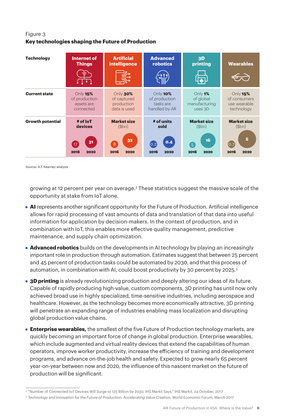#### Figure 3 **Key technologies shaping the Future of Production**

| <b>Technology</b>       | Internet of<br><b>Things</b><br>ਵ<br>Ò. | <b>Artificial</b><br>intelligence | <b>Advanced</b><br>robotics | 3D<br>printing<br>$\sqrt{4}$ | <b>Wearables</b>   |
|-------------------------|-----------------------------------------|-----------------------------------|-----------------------------|------------------------------|--------------------|
| <b>Current state</b>    | Only $15%$                              | Only 30%                          | Only 10%                    | Only $1\%$                   | Only $15%$         |
|                         | of production                           | of captured                       | of production               | of global                    | of consumers       |
|                         | assets are                              | production                        | tasks are                   | manufacturing                | use wearable       |
|                         | connected                               | data is used                      | handled by AR               | uses $3D$                    | technology         |
| <b>Growth potential</b> | # of loT                                | <b>Market size</b>                | # of units                  | <b>Market size</b>           | <b>Market size</b> |
|                         | devices                                 | ( <b>5</b> bn)                    | sold                        | ( <b>5</b> bn)               | ( <b>5</b> bn)     |
|                         | 31                                      | 32                                | 0.4                         | 16                           | 5                  |
|                         | (17)                                    | $\overline{8}$                    | (0.2)                       | 5                            | (0.7)              |
|                         | 2016                                    | 2016                              | 2016                        | 2016                         | 2016               |
|                         | 2020                                    | 2020                              | 2020                        | 2020                         | 2020               |

Source: A.T. Kearney analysis

growing at 12 percent per year on average. $^2$  These statistics suggest the massive scale of the opportunity at stake from IoT alone.

- **AI** represents another significant opportunity for the Future of Production. Artificial intelligence allows for rapid processing of vast amounts of data and translation of that data into useful information for application by decision-makers. In the context of production, and in combination with IoT, this enables more effective quality management, predictive maintenance, and supply chain optimization.
- **• Advanced robotics** builds on the developments in AI technology by playing an increasingly important role in production through automation. Estimates suggest that between 25 percent and 45 percent of production tasks could be automated by 2030, and that this process of automation, in combination with AI, could boost productivity by 30 percent by 2025.<sup>3</sup>
- **• 3D printing** is already revolutionizing production and deeply altering our ideas of its future. Capable of rapidly producing high-value, custom components, 3D printing has until now only achieved broad use in highly specialized, time-sensitive industries, including aerospace and healthcare. However, as the technology becomes more economically attractive, 3D printing will penetrate an expanding range of industries enabling mass localization and disrupting global production value chains.
- **• Enterprise wearables,** the smallest of the five Future of Production technology markets, are quickly becoming an important force of change in global production. Enterprise wearables, which include augmented and virtual reality devices that extend the capabilities of human operators, improve worker productivity, increase the efficiency of training and development programs, and advance on-the-job health and safety. Expected to grow nearly 65 percent year-on-year between now and 2020, the influence of this nascent market on the future of production will be significant.

<sup>&</sup>lt;sup>2</sup> "Number of Connected IoT Devices Will Surge to 125 Billion by 2030, IHS Markit Says," IHS Markit, 24 October, 2017

<sup>&</sup>lt;sup>3</sup> Technology and Innovation for the Future of Production: Accelerating Value Creation, World Economic Forum, March 2017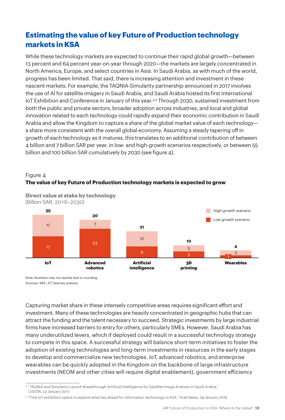# **Estimating the value of key Future of Production technology markets in KSA**

While these technology markets are expected to continue their rapid global growth—between 13 percent and 64 percent year-on-year through 2020—the markets are largely concentrated in North America, Europe, and select countries in Asia. In Saudi Arabia, as with much of the world, progress has been limited. That said, there is increasing attention and investment in these nascent markets. For example, the TAQNIA-Simularity partnership announced in 2017 involves the use of AI for satellite imagery in Saudi Arabia, and Saudi Arabia hosted its first International IoT Exhibition and Conference in January of this year.<sup>4,5</sup> Through 2030, sustained investment from both the public and private sectors, broader adoption across industries, and local and global innovation related to each technology could rapidly expand their economic contribution in Saudi Arabia and allow the Kingdom to capture a share of the global market value of each technology a share more consistent with the overall global economy. Assuming a steady tapering off in growth of each technology as it matures, this translates to an additional contribution of between 4 billion and 7 billion SAR per year, in low- and high-growth scenarios respectively, or between 55 billion and 100 billion SAR cumulatively by 2030 (see figure 4).





**Direct value at stake by technology** (Billion SAR, 2016–2030)

Note: Numbers may not resolve due to rounding. Sources: WEF; A.T. Kearney analysis

Capturing market share in these intensely competitive areas requires significant effort and investment. Many of these technologies are heavily concentrated in geographic hubs that can attract the funding and the talent necessary to succeed. Strategic investments by large industrial firms have increased barriers to entry for others, particularly SMEs. However, Saudi Arabia has many underutilized levers, which if deployed could result in a successful technology strategy to compete in this space. A successful strategy will balance short-term initiatives to foster the adoption of existing technologies and long-term investments in resources in the early stages to develop and commercialize new technologies. IoT, advanced robotics, and enterprise wearables can be quickly adopted in the Kingdom on the backbone of large infrastructure investments (NEOM and other cities will require digital enablement), government efficiency

<sup>4</sup> "TAQNIA and Simularity Launch Breakthrough Artificial Intelligence for Satellite Image Analysis in Saudi Arabia," CISION, 23 January 2017

<sup>5</sup> "First IoT exhibition opens to explore what lies ahead for information technology in KSA," Arab News, 29 January 2018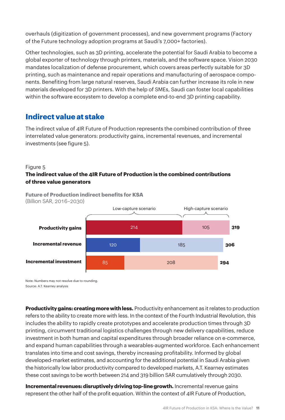overhauls (digitization of government processes), and new government programs (Factory of the Future technology adoption programs at Saudi's 7,000+ factories).

Other technologies, such as 3D printing, accelerate the potential for Saudi Arabia to become a global exporter of technology through printers, materials, and the software space. Vision 2030 mandates localization of defense procurement, which covers areas perfectly suitable for 3D printing, such as maintenance and repair operations and manufacturing of aerospace components. Benefiting from large natural reserves, Saudi Arabia can further increase its role in new materials developed for 3D printers. With the help of SMEs, Saudi can foster local capabilities within the software ecosystem to develop a complete end-to-end 3D printing capability.

### **Indirect value at stake**

The indirect value of 4IR Future of Production represents the combined contribution of three interrelated value generators: productivity gains, incremental revenues, and incremental investments (see figure 5).

#### Figure 5

#### **The indirect value of the 4IR Future of Production is the combined contributions of three value generators**





Note: Numbers may not resolve due to rounding. Source: A.T. Kearney analysis

**Productivity gains: creating more with less.** Productivity enhancement as it relates to production refers to the ability to create more with less. In the context of the Fourth Industrial Revolution, this includes the ability to rapidly create prototypes and accelerate production times through 3D printing, circumvent traditional logistics challenges through new delivery capabilities, reduce investment in both human and capital expenditures through broader reliance on e-commerce, and expand human capabilities through a wearables-augmented workforce. Each enhancement translates into time and cost savings, thereby increasing profitability. Informed by global developed-market estimates, and accounting for the additional potential in Saudi Arabia given the historically low labor productivity compared to developed markets, A.T. Kearney estimates these cost savings to be worth between 214 and 319 billion SAR cumulatively through 2030.

**Incremental revenues: disruptively driving top-line growth.** Incremental revenue gains represent the other half of the profit equation. Within the context of 4IR Future of Production,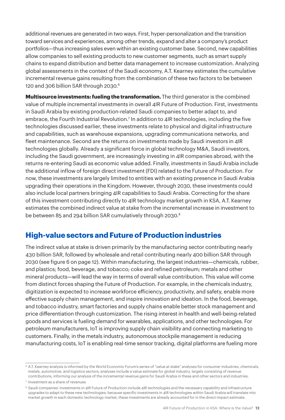additional revenues are generated in two ways. First, hyper-personalization and the transition toward services and experiences, among other trends, expand and alter a company's product portfolios—thus increasing sales even within an existing customer base. Second, new capabilities allow companies to sell existing products to new customer segments, such as smart supply chains to expand distribution and better data management to increase customization. Analyzing global assessments in the context of the Saudi economy, A.T. Kearney estimates the cumulative incremental revenue gains resulting from the combination of these two factors to be between 120 and 306 billion SAR through 2030.<sup>6</sup>

**Multisource investments: fueling the transformation.** The third generator is the combined value of multiple incremental investments in overall 4IR Future of Production. First, investments in Saudi Arabia by existing production-related Saudi companies to better adapt to, and embrace, the Fourth Industrial Revolution.7 In addition to 4IR technologies, including the five technologies discussed earlier, these investments relate to physical and digital infrastructure and capabilities, such as warehouse expansions, upgrading communications networks, and fleet maintenance. Second are the returns on investments made by Saudi investors in 4IR technologies globally. Already a significant force in global technology M&A, Saudi investors, including the Saudi government, are increasingly investing in 4IR companies abroad, with the returns re-entering Saudi as economic value added. Finally, investments in Saudi Arabia include the additional inflow of foreign direct investment (FDI) related to the Future of Production. For now, these investments are largely limited to entities with an existing presence in Saudi Arabia upgrading their operations in the Kingdom. However, through 2030, these investments could also include local partners bringing 4IR capabilities to Saudi Arabia. Correcting for the share of this investment contributing directly to 4IR technology market growth in KSA, A.T. Kearney estimates the combined indirect value at stake from the incremental increase in investment to be between 85 and 294 billion SAR cumulatively through 2030.<sup>8</sup>

## **High-value sectors and Future of Production industries**

The indirect value at stake is driven primarily by the manufacturing sector contributing nearly 430 billion SAR, followed by wholesale and retail contributing nearly 400 billion SAR through 2030 (see figure 6 on page 12). Within manufacturing, the largest industries—chemicals, rubber, and plastics; food, beverage, and tobacco; coke and refined petroleum; metals and other mineral products—will lead the way in terms of overall value contribution. This value will come from distinct forces shaping the Future of Production. For example, in the chemicals industry, digitization is expected to increase workforce efficiency, productivity, and safety, enable more effective supply chain management, and inspire innovation and ideation. In the food, beverage, and tobacco industry, smart factories and supply chains enable better stock management and price differentiation through customization. The rising interest in health and well-being-related goods and services is fueling demand for wearables, applications, and other technologies. For petroleum manufacturers, IoT is improving supply chain visibility and connecting marketing to customers. Finally, in the metals industry, autonomous stockpile management is reducing manufacturing costs, IoT is enabling real-time sensor tracking, digital platforms are fueling more

<sup>6</sup> A.T. Kearney analysis is informed by the World Economic Forum's series of "value at stake" analyses for consumer industries, chemicals, metals, automotive, and logistics sectors; analyses include a value estimate for global industry, largely consisting of revenue contributions, informing our analysis of the incremental revenue gains for Saudi Arabia in these and other sectors and industries.

<sup>7</sup> Investment as a share of revenues

<sup>8</sup> Saudi companies' investments in 4IR Future of Production include 4IR technologies and the necessary capability and infrastructure upgrades to adapt to these new technologies; because specific investments in 4IR technologies within Saudi Arabia will translate into market growth in each domestic technology market, these investments are already accounted for in the direct impact estimate.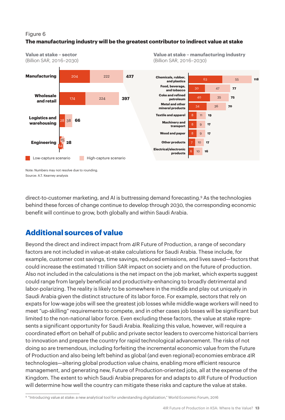#### Figure 6 **The manufacturing industry will be the greatest contributor to indirect value at stake**



**Value at stake – sector** (Billion SAR, 2016–2030) **Value at stake – manufacturing industry** (Billion SAR, 2016–2030)

Note: Numbers may not resolve due to rounding. Source: A.T. Kearney analysis

direct-to-customer marketing, and AI is buttressing demand forecasting.9 As the technologies behind these forces of change continue to develop through 2030, the corresponding economic benefit will continue to grow, both globally and within Saudi Arabia.

# **Additional sources of value**

Beyond the direct and indirect impact from 4IR Future of Production, a range of secondary factors are not included in value-at-stake calculations for Saudi Arabia. These include, for example, customer cost savings, time savings, reduced emissions, and lives saved—factors that could increase the estimated 1 trillion SAR impact on society and on the future of production. Also not included in the calculations is the net impact on the job market, which experts suggest could range from largely beneficial and productivity-enhancing to broadly detrimental and labor-polarizing. The reality is likely to be somewhere in the middle and play out uniquely in Saudi Arabia given the distinct structure of its labor force. For example, sectors that rely on expats for low-wage jobs will see the greatest job losses while middle-wage workers will need to meet "up-skilling" requirements to compete, and in other cases job losses will be significant but limited to the non-national labor force. Even excluding these factors, the value at stake represents a significant opportunity for Saudi Arabia. Realizing this value, however, will require a coordinated effort on behalf of public and private sector leaders to overcome historical barriers to innovation and prepare the country for rapid technological advancement. The risks of not doing so are tremendous, including forfeiting the incremental economic value from the Future of Production and also being left behind as global (and even regional) economies embrace 4IR technologies—altering global production value chains, enabling more efficient resource management, and generating new, Future of Production-oriented jobs, all at the expense of the Kingdom. The extent to which Saudi Arabia prepares for and adapts to 4IR Future of Production will determine how well the country can mitigate these risks and capture the value at stake.

<sup>9</sup> "Introducing value at stake: a new analytical tool for understanding digitalization," World Economic Forum, 2016